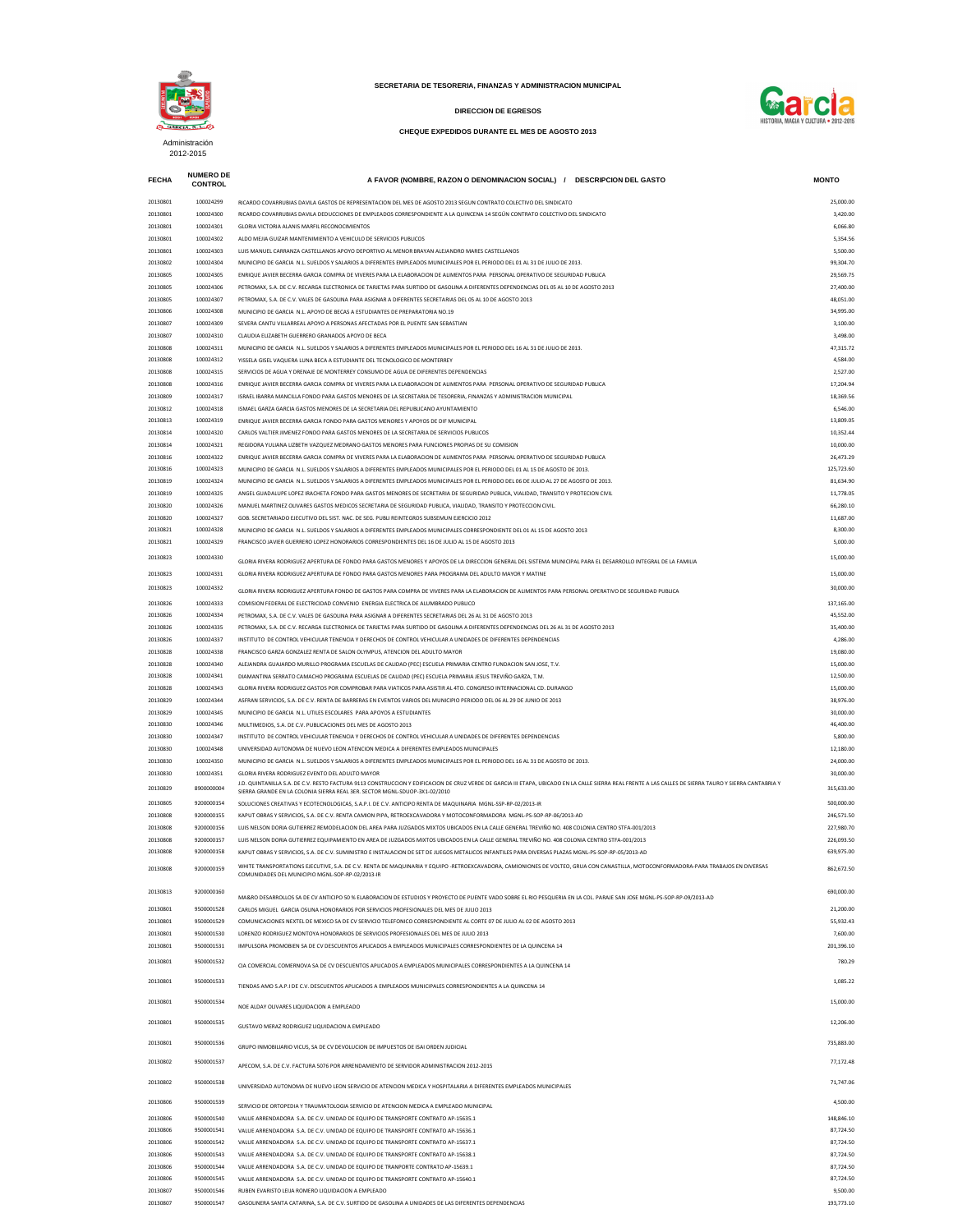| <b>FECHA</b>         | <b>NUMERO DE</b><br><b>CONTROL</b> | A FAVOR (NOMBRE, RAZON O DENOMINACION SOCIAL) / DESCRIPCION DEL GASTO                                                                                                                                                                                      | <b>MONTO</b>             |
|----------------------|------------------------------------|------------------------------------------------------------------------------------------------------------------------------------------------------------------------------------------------------------------------------------------------------------|--------------------------|
| 20130801             | 100024299                          | RICARDO COVARRUBIAS DAVILA GASTOS DE REPRESENTACION DEL MES DE AGOSTO 2013 SEGUN CONTRATO COLECTIVO DEL SINDICATO                                                                                                                                          | 25,000.00                |
| 20130801             | 100024300                          | RICARDO COVARRUBIAS DAVILA DEDUCCIONES DE EMPLEADOS CORRESPONDIENTE A LA QUINCENA 14 SEGÚN CONTRATO COLECTIVO DEL SINDICATO                                                                                                                                | 3,420.00                 |
| 20130801<br>20130801 | 100024301<br>100024302             | <b>GLORIA VICTORIA ALANIS MARFIL RECONOCIMIENTOS</b><br>ALDO MEJIA GUIZAR MANTENIMIENTO A VEHICULO DE SERVICIOS PUBLICOS                                                                                                                                   | 6,066.80<br>5,354.56     |
| 20130801             | 100024303                          | LUIS MANUEL CARRANZA CASTELLANOS APOYO DEPORTIVO AL MENOR BRAYAN ALEJANDRO MARES CASTELLANOS                                                                                                                                                               | 5,500.00                 |
| 20130802             | 100024304                          | MUNICIPIO DE GARCIA N.L. SUELDOS Y SALARIOS A DIFERENTES EMPLEADOS MUNICIPALES POR EL PERIODO DEL 01 AL 31 DE JULIO DE 2013.                                                                                                                               | 99,304.70                |
| 20130805             | 100024305                          | ENRIQUE JAVIER BECERRA GARCIA COMPRA DE VIVERES PARA LA ELABORACION DE ALIMENTOS PARA PERSONAL OPERATIVO DE SEGURIDAD PUBLICA                                                                                                                              | 29,569.75                |
| 20130805             | 100024306                          | PETROMAX, S.A. DE C.V. RECARGA ELECTRONICA DE TARJETAS PARA SURTIDO DE GASOLINA A DIFERENTES DEPENDENCIAS DEL 05 AL 10 DE AGOSTO 2013                                                                                                                      | 27,400.00                |
| 20130805<br>20130806 | 100024307<br>100024308             | PETROMAX, S.A. DE C.V. VALES DE GASOLINA PARA ASIGNAR A DIFERENTES SECRETARIAS DEL 05 AL 10 DE AGOSTO 2013<br>MUNICIPIO DE GARCIA N.L. APOYO DE BECAS A ESTUDIANTES DE PREPARATORIA NO.19                                                                  | 48,051.00<br>34,995.00   |
| 20130807             | 100024309                          | SEVERA CANTU VILLARREAL APOYO A PERSONAS AFECTADAS POR EL PUENTE SAN SEBASTIAN                                                                                                                                                                             | 3,100.00                 |
| 20130807             | 100024310                          | CLAUDIA ELIZABETH GUERRERO GRANADOS APOYO DE BECA                                                                                                                                                                                                          | 3,498.00                 |
| 20130808             | 100024311                          | MUNICIPIO DE GARCIA N.L. SUELDOS Y SALARIOS A DIFERENTES EMPLEADOS MUNICIPALES POR EL PERIODO DEL 16 AL 31 DE JULIO DE 2013.                                                                                                                               | 47,315.72                |
| 20130808             | 100024312                          | YISSELA GISEL VAQUERA LUNA BECA A ESTUDIANTE DEL TECNOLOGICO DE MONTERREY                                                                                                                                                                                  | 4,584.00                 |
| 20130808<br>20130808 | 100024315<br>100024316             | SERVICIOS DE AGUA Y DRENAJE DE MONTERREY CONSUMO DE AGUA DE DIFERENTES DEPENDENCIAS<br>ENRIQUE JAVIER BECERRA GARCIA COMPRA DE VIVERES PARA LA ELABORACION DE ALIMENTOS PARA PERSONAL OPERATIVO DE SEGURIDAD PUBLICA                                       | 2,527.00<br>17,204.94    |
| 20130809             | 100024317                          | ISRAEL IBARRA MANCILLA FONDO PARA GASTOS MENORES DE LA SECRETARIA DE TESORERIA. FINANZAS Y ADMINISTRACION MUNICIPAL                                                                                                                                        | 18,369.56                |
| 20130812             | 100024318                          | ISMAEL GARZA GARCIA GASTOS MENORES DE LA SECRETARIA DEL REPUBLICANO AYUNTAMIENTO                                                                                                                                                                           | 6,546.00                 |
| 20130813             | 100024319                          | ENRIQUE JAVIER BECERRA GARCIA FONDO PARA GASTOS MENORES Y APOYOS DE DIF MUNICIPAL                                                                                                                                                                          | 13,809.05                |
| 20130814<br>20130814 | 100024320<br>100024321             | CARLOS VALTIER JIMENEZ FONDO PARA GASTOS MENORES DE LA SECRETARIA DE SERVICIOS PUBLICOS<br>REGIDORA YULIANA LIZBETH VAZQUEZ MEDRANO GASTOS MENORES PARA FUNCIONES PROPIAS DE SU COMISION                                                                   | 10,352.44<br>10,000.00   |
| 20130816             | 100024322                          | ENRIQUE JAVIER BECERRA GARCIA COMPRA DE VIVERES PARA LA ELABORACION DE ALIMENTOS PARA PERSONAL OPERATIVO DE SEGURIDAD PUBLICA                                                                                                                              | 26,473.29                |
| 20130816             | 100024323                          | MUNICIPIO DE GARCIA N.L. SUELDOS Y SALARIOS A DIFERENTES EMPLEADOS MUNICIPALES POR EL PERIODO DEL 01 AL 15 DE AGOSTO DE 2013.                                                                                                                              | 125,723.60               |
| 20130819             | 100024324                          | MUNICIPIO DE GARCIA N.L. SUELDOS Y SALARIOS A DIFERENTES EMPLEADOS MUNICIPALES POR EL PERIODO DEL 06 DE JULIO AL 27 DE AGOSTO DE 2013.                                                                                                                     | 81,634.90                |
| 20130819             | 100024325                          | ANGEL GUADALUPE LOPEZ IRACHETA FONDO PARA GASTOS MENORES DE SECRETARIA DE SEGURIDAD PUBLICA, VIALIDAD, TRANSITO Y PROTECION CIVIL                                                                                                                          | 11,778.05                |
| 20130820<br>20130820 | 100024326<br>100024327             | MANUEL MARTINEZ OLIVARES GASTOS MEDICOS SECRETARIA DE SEGURIDAD PUBLICA, VIALIDAD, TRANSITO Y PROTECCION CIVIL.<br>GOB. SECRETARIADO EJECUTIVO DEL SIST. NAC. DE SEG. PUBLI REINTEGROS SUBSEMUN EJERCICIO 2012                                             | 66,280.10<br>11,687.00   |
| 20130821             | 100024328                          | MUNICIPIO DE GARCIA N.L. SUELDOS Y SALARIOS A DIFERENTES EMPLEADOS MUNICIPALES CORRESPONDIENTE DEL 01 AL 15 DE AGOSTO 2013                                                                                                                                 | 8,300.00                 |
| 20130821             | 100024329                          | FRANCISCO JAVIER GUERRERO LOPEZ HONORARIOS CORRESPONDIENTES DEL 16 DE JULIO AL 15 DE AGOSTO 2013                                                                                                                                                           | 5,000.00                 |
| 20130823             | 100024330                          | GLORIA RIVERA RODRIGUEZ APERTURA DE FONDO PARA GASTOS MENORES Y APOYOS DE LA DIRECCION GENERAL DEL SISTEMA MUNICIPAL PARA EL DESARROLLO INTEGRAL DE LA FAMILIA                                                                                             | 15,000.00                |
| 20130823             | 100024331                          | GLORIA RIVERA RODRIGUEZ APERTURA DE FONDO PARA GASTOS MENORES PARA PROGRAMA DEL ADULTO MAYOR Y MATINE                                                                                                                                                      | 15,000.00                |
| 20130823             | 100024332                          | GLORIA RIVERA RODRIGUEZ APERTURA FONDO DE GASTOS PARA COMPRA DE VIVERES PARA LA ELABORACION DE ALIMENTOS PARA PERSONAL OPERATIVO DE SEGURIDAD PUBLICA                                                                                                      | 30,000.00                |
| 20130826             | 100024333                          | COMISION FEDERAL DE ELECTRICIDAD CONVENIO ENERGIA ELECTRICA DE ALUMBRADO PUBLICO                                                                                                                                                                           | 137,165.00               |
| 20130826             | 100024334                          | PETROMAX, S.A. DE C.V. VALES DE GASOLINA PARA ASIGNAR A DIFERENTES SECRETARIAS DEL 26 AL 31 DE AGOSTO 2013                                                                                                                                                 | 45,552.00                |
| 20130826             | 100024335                          | PETROMAX, S.A. DE C.V. RECARGA ELECTRONICA DE TARJETAS PARA SURTIDO DE GASOLINA A DIFERENTES DEPENDENCIAS DEL 26 AL 31 DE AGOSTO 2013                                                                                                                      | 35,400.00                |
| 20130826<br>20130828 | 100024337<br>100024338             | INSTITUTO DE CONTROL VEHICULAR TENENCIA Y DERECHOS DE CONTROL VEHICULAR A UNIDADES DE DIFERENTES DEPENDENCIAS<br>FRANCISCO GARZA GONZALEZ RENTA DE SALON OLYMPUS, ATENCION DEL ADULTO MAYOR                                                                | 4,286.00<br>19,080.00    |
| 20130828             | 100024340                          | ALEJANDRA GUAJARDO MURILLO PROGRAMA ESCUELAS DE CALIDAD (PEC) ESCUELA PRIMARIA CENTRO FUNDACION SAN JOSE, T.V.                                                                                                                                             | 15,000.00                |
| 20130828             | 100024341                          | DIAMANTINA SERRATO CAMACHO PROGRAMA ESCUELAS DE CALIDAD (PEC) ESCUELA PRIMARIA JESUS TREVIÑO GARZA, T.M.                                                                                                                                                   | 12,500.00                |
| 20130828             | 100024343                          | GLORIA RIVERA RODRIGUEZ GASTOS POR COMPROBAR PARA VIATICOS PARA ASISTIR AL 4TO. CONGRESO INTERNACIONAL CD. DURANGO                                                                                                                                         | 15,000.00                |
| 20130829             | 100024344                          | ASFRAN SERVICIOS, S.A. DE C.V. RENTA DE BARRERAS EN EVENTOS VARIOS DEL MUNICIPIO PERIODO DEL 06 AL 29 DE JUNIO DE 2013                                                                                                                                     | 38,976.00                |
| 20130829<br>20130830 | 100024345<br>100024346             | MUNICIPIO DE GARCIA N.L. UTILES ESCOLARES PARA APOYOS A ESTUDIANTES<br>MULTIMEDIOS, S.A. DE C.V. PUBLICACIONES DEL MES DE AGOSTO 2013                                                                                                                      | 30,000.00<br>46,400.00   |
| 20130830             | 100024347                          | INSTITUTO DE CONTROL VEHICULAR TENENCIA Y DERECHOS DE CONTROL VEHICULAR A UNIDADES DE DIFERENTES DEPENDENCIAS                                                                                                                                              | 5,800.00                 |
| 20130830             | 100024348                          | UNIVERSIDAD AUTONOMA DE NUEVO LEON ATENCION MEDICA A DIFERENTES EMPLEADOS MUNICIPALES                                                                                                                                                                      | 12,180.00                |
| 20130830             | 100024350                          | MUNICIPIO DE GARCIA N.L. SUELDOS Y SALARIOS A DIFERENTES EMPLEADOS MUNICIPALES POR EL PERIODO DEL 16 AL 31 DE AGOSTO DE 2013.                                                                                                                              | 24,000.00                |
| 20130830             | 100024351                          | GLORIA RIVERA RODRIGUEZ EVENTO DEL ADULTO MAYOR<br>J.D. QUINTANILLA S.A. DE C.V. RESTO FACTURA 9113 CONSTRUCCION Y EDIFICACION DE CRUZ VERDE DE GARCIA III ETAPA, UBICADO EN LA CALLE SIERRA REAL FRENTE A LAS CALLES DE SIERRA TAURO Y SIERRA CANTABRIA Y | 30,000.00                |
| 20130829             | 8900000004                         | SIERRA GRANDE EN LA COLONIA SIERRA REAL 3ER. SECTOR MGNL-SDUOP-3X1-02/2010                                                                                                                                                                                 | 315,633.00               |
| 20130805<br>20130808 | 9200000154<br>9200000155           | SOLUCIONES CREATIVAS Y ECOTECNOLOGICAS, S.A.P.I. DE C.V. ANTICIPO RENTA DE MAQUINARIA MGNL-SSP-RP-02/2013-IR<br>KAPUT OBRAS Y SERVICIOS, S.A. DE C.V. RENTA CAMION PIPA, RETROEXCAVADORA Y MOTOCONFORMADORA MGNL-PS-SOP-RP-06/2013-AD                      | 500,000.00<br>246,571.50 |
| 20130808             | 9200000156                         | LUIS NELSON DORIA GUTIERREZ REMODELACION DEL AREA PARA JUZGADOS MIXTOS UBICADOS EN LA CALLE GENERAL TREVIÑO NO. 408 COLONIA CENTRO STFA-001/2013                                                                                                           | 227,980.70               |
| 20130808             | 9200000157                         | LUIS NELSON DORIA GUTIERREZ EQUIPAMIENTO EN AREA DE JUZGADOS MIXTOS UBICADOS EN LA CALLE GENERAL TREVIÑO NO. 408 COLONIA CENTRO STFA-001/2013                                                                                                              | 226,093.50               |
| 20130808             | 9200000158                         | KAPUT OBRAS Y SERVICIOS, S.A. DE C.V. SUMINISTRO E INSTALACION DE SET DE JUEGOS METALICOS INFANTILES PARA DIVERSAS PLAZAS MGNL-PS-SOP-RP-05/2013-AD                                                                                                        | 639,975.00               |
| 20130808             | 9200000159                         | WHITE TRANSPORTATIONS EJECUTIVE, S.A. DE C.V. RENTA DE MAQUINARIA Y EQUIPO -RETROEXCAVADORA, CAMIONIONES DE VOLTEO, GRUA CON CANASTILLA, MOTOCONFORMADORA-PARA TRABAJOS EN DIVERSAS<br>COMUNIDADES DEL MUNICIPIO MGNL-SOP-RP-02/2013-IR                    | 862,672.50               |
|                      |                                    |                                                                                                                                                                                                                                                            |                          |
| 20130813             | 9200000160                         | MA&RO DESARROLLOS SA DE CV ANTICIPO 50% ELABORACION DE ESTUDIOS Y PROYECTO DE PUENTE VADO SOBRE EL RIO PESQUERIA EN LA COL. PARAJE SAN JOSE MGNL-PS-SOP-RP-09/2013-AD                                                                                      | 690,000.00               |
| 20130801             | 9500001528                         | CARLOS MIGUEL GARCIA OSUNA HONORARIOS POR SERVICIOS PROFESIONALES DEL MES DE JULIO 2013                                                                                                                                                                    | 21,200.00                |
| 20130801<br>20130801 | 9500001529<br>9500001530           | COMUNICACIONES NEXTEL DE MEXICO SA DE CV SERVICIO TELEFONICO CORRESPONDIENTE AL CORTE 07 DE JULIO AL 02 DE AGOSTO 2013<br>LORENZO RODRIGUEZ MONTOYA HONORARIOS DE SERVICIOS PROFESIONALES DEL MES DE JULIO 2013                                            | 55,932.43<br>7,600.00    |
| 20130801             | 9500001531                         | IMPULSORA PROMOBIEN SA DE CV DESCUENTOS APLICADOS A EMPLEADOS MUNICIPALES CORRESPONDIENTES DE LA QUINCENA 14                                                                                                                                               | 201,396.10               |
| 20130801             | 9500001532                         | CIA COMERCIAL COMERNOVA SA DE CV DESCUENTOS APLICADOS A EMPLEADOS MUNICIPALES CORRESPONDIENTES A LA QUINCENA 14                                                                                                                                            | 780.29                   |
| 20130801             | 9500001533                         | TIENDAS AMO S.A.P.I DE C.V. DESCUENTOS APLICADOS A EMPLEADOS MUNICIPALES CORRESPONDIENTES A LA QUINCENA 14                                                                                                                                                 | 1,085.22                 |
| 20130801             | 9500001534                         | NOE ALDAY OLIVARES LIQUIDACION A EMPLEADO                                                                                                                                                                                                                  | 15,000.00                |
| 20130801             | 9500001535                         | GUSTAVO MERAZ RODRIGUEZ LIQUIDACION A EMPLEADO                                                                                                                                                                                                             | 12,206.00                |
| 20130801             | 9500001536                         | GRUPO INMOBILIARIO VICUS, SA DE CV DEVOLUCION DE IMPUESTOS DE ISAI ORDEN JUDICIAL                                                                                                                                                                          | 735,883.00               |
| 20130802             | 9500001537                         | APECOM, S.A. DE C.V. FACTURA 5076 POR ARRENDAMIENTO DE SERVIDOR ADMINISTRACION 2012-2015                                                                                                                                                                   | 77,172.48                |
| 20130802             | 9500001538                         | UNIVERSIDAD AUTONOMA DE NUEVO LEON SERVICIO DE ATENCION MEDICA Y HOSPITALARIA A DIFERENTES EMPLEADOS MUNICIPALES                                                                                                                                           | 71,747.06                |
| 20130806             | 9500001539                         | SERVICIO DE ORTOPEDIA Y TRAUMATOLOGIA SERVICIO DE ATENCION MEDICA A EMPLEADO MUNICIPAL                                                                                                                                                                     | 4,500.00                 |
| 20130806             | 9500001540                         | VALUE ARRENDADORA S.A. DE C.V. UNIDAD DE EQUIPO DE TRANSPORTE CONTRATO AP-15635.1                                                                                                                                                                          | 148,846.10               |
| 20130806             | 9500001541                         | VALUE ARRENDADORA S.A. DE C.V. UNIDAD DE EQUIPO DE TRANSPORTE CONTRATO AP-15636.1                                                                                                                                                                          | 87,724.50                |
| 20130806<br>20130806 | 9500001542<br>9500001543           | VALUE ARRENDADORA S.A. DE C.V. UNIDAD DE EQUIPO DE TRANSPORTE CONTRATO AP-15637.1<br>VALUE ARRENDADORA S.A. DE C.V. UNIDAD DE EQUIPO DE TRANSPORTE CONTRATO AP-15638.1                                                                                     | 87,724.50<br>87,724.50   |
| 20130806             | 9500001544                         | VALUE ARRENDADORA S.A. DE C.V. UNIDAD DE EQUIPO DE TRANPORTE CONTRATO AP-15639.1                                                                                                                                                                           | 87,724.50                |
| 20130806             | 9500001545                         | VALUE ARRENDADORA S.A. DE C.V. UNIDAD DE EQUIPO DE TRANSPORTE CONTRATO AP-15640.1                                                                                                                                                                          | 87,724.50                |
| 20130807             | 9500001546                         | RUBEN EVARISTO LEIJA ROMERO LIQUIDACION A EMPLEADO                                                                                                                                                                                                         | 9,500.00                 |
| 20130807             | 9500001547                         | GASOLINERA SANTA CATARINA, S.A. DE C.V. SURTIDO DE GASOLINA A UNIDADES DE LAS DIFERENTES DEPENDENCIAS                                                                                                                                                      | 193,773.10               |



## **SECRETARIA DE TESORERIA, FINANZAS Y ADMINISTRACION MUNICIPAL**



## **DIRECCION DE EGRESOS**

## **CHEQUE EXPEDIDOS DURANTE EL MES DE AGOSTO 2013**

Administración 2012-2015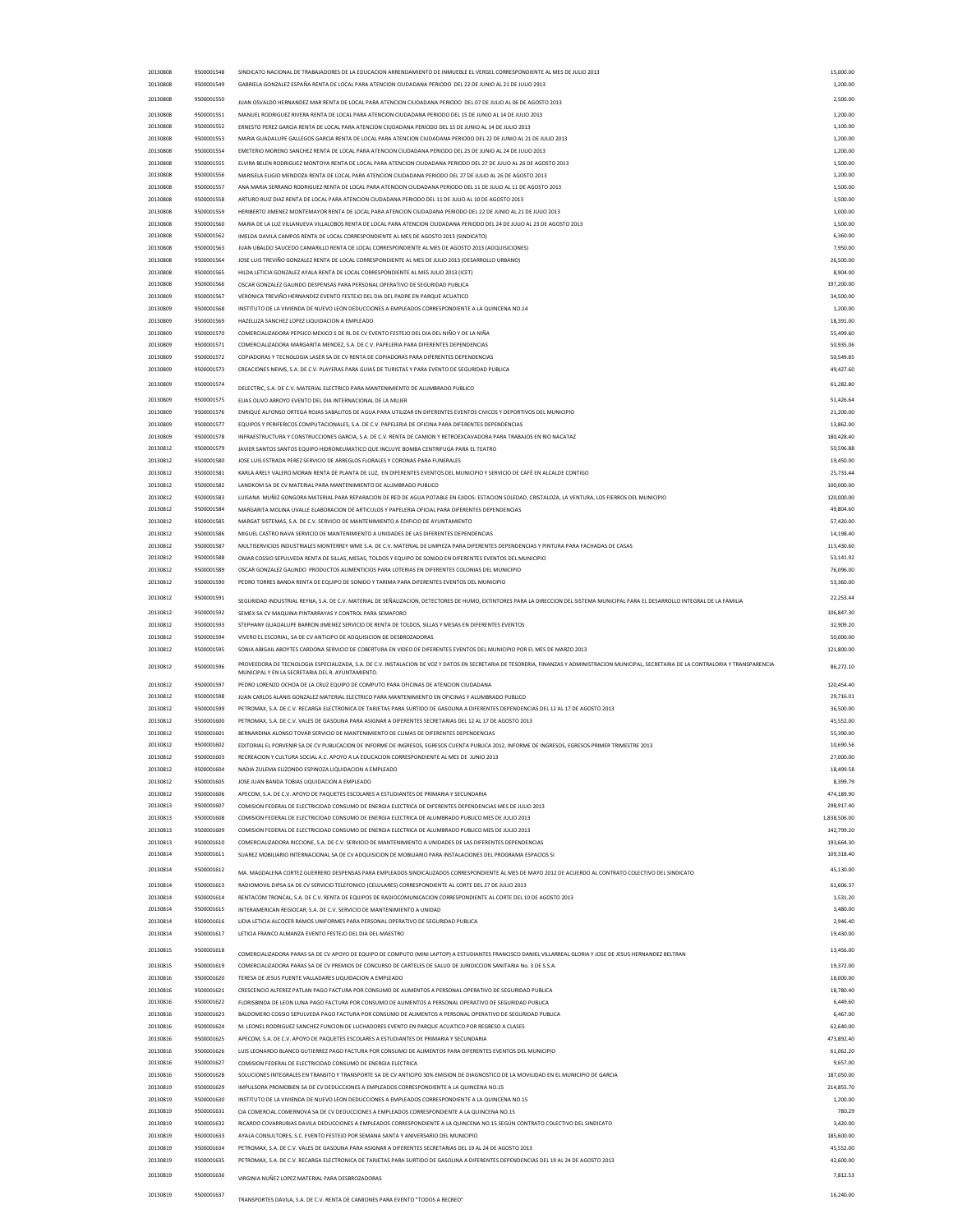| 20130808 | 9500001548 | SINDICATO NACIONAL DE TRABAJADORES DE LA EDUCACION ARRENDAMIENTO DE INMUEBLE EL VERGEL CORRESPONDIENTE AL MES DE JULIO 2013                                                                   | 15,000.00    |
|----------|------------|-----------------------------------------------------------------------------------------------------------------------------------------------------------------------------------------------|--------------|
| 20130808 | 9500001549 | GABRIELA GONZALEZ ESPAÑA RENTA DE LOCAL PARA ATENCION CIUDADANA PERIODO DEL 22 DE JUNIO AL 21 DE JULIO 2913                                                                                   | 1,200.00     |
| 20130808 | 9500001550 | JUAN OSVALDO HERNANDEZ MAR RENTA DE LOCAL PARA ATENCION CIUDADANA PERIODO DEL 07 DE JULIO AL 06 DE AGOSTO 2013                                                                                | 2,500.00     |
| 20130808 | 9500001551 | MANUEL RODRIGUEZ RIVERA RENTA DE LOCAL PARA ATENCION CIUDADANA PERIODO DEL 15 DE JUNIO AL 14 DE JULIO 2013                                                                                    | 1,200.00     |
| 20130808 | 9500001552 | ERNESTO PEREZ GARCIA RENTA DE LOCAL PARA ATENCION CIUDADANA PERIODO DEL 15 DE JUNIO AL 14 DE JULIO 2013                                                                                       | 1,100.00     |
| 20130808 | 9500001553 | MARIA GUADALUPE GALLEGOS GARCIA RENTA DE LOCAL PARA ATENCION CIUDADANA PERIODO DEL 22 DE JUNIO AL 21 DE JULIO 2013                                                                            | 1,200.00     |
| 20130808 | 9500001554 | EMETERIO MORENO SANCHEZ RENTA DE LOCAL PARA ATENCION CIUDADANA PERIODO DEL 25 DE JUNIO AL 24 DE JULIO 2013                                                                                    | 1,200.00     |
| 20130808 | 9500001555 | ELVIRA BELEN RODRIGUEZ MONTOYA RENTA DE LOCAL PARA ATENCION CIUDADANA PERIODO DEL 27 DE JULIO AL 26 DE AGOSTO 2013                                                                            | 1,500.00     |
| 20130808 | 9500001556 | MARISELA ELIGIO MENDOZA RENTA DE LOCAL PARA ATENCION CIUDADANA PERIODO DEL 27 DE JULIO AL 26 DE AGOSTO 2013                                                                                   | 1,200.00     |
| 20130808 | 9500001557 | ANA MARIA SERRANO RODRIGUEZ RENTA DE LOCAL PARA ATENCION CIUDADANA PERIODO DEL 11 DE JULIO AL 11 DE AGOSTO 2013                                                                               | 1,500.00     |
| 20130808 | 9500001558 | ARTURO RUIZ DIAZ RENTA DE LOCAL PARA ATENCION CIUDADANA PERIODO DEL 11 DE JULIO AL 10 DE AGOSTO 2013                                                                                          | 1,500.00     |
| 20130808 | 9500001559 | HERIBERTO JIMENEZ MONTEMAYOR RENTA DE LOCAL PARA ATENCION CIUDADANA PERIODO DEL 22 DE JUNIO AL 21 DE JULIO 2013                                                                               | 1,000.00     |
| 20130808 | 9500001560 | MARIA DE LA LUZ VILLANUEVA VILLALOBOS RENTA DE LOCAL PARA ATENCION CIUDADANA PERIODO DEL 24 DE JULIO AL 23 DE AGOSTO 2013                                                                     | 1,500.00     |
| 20130808 | 9500001562 | IMELDA DAVILA CAMPOS RENTA DE LOCAL CORRESPONDIENTE AL MES DE AGOSTO 2013 (SINDICATO)                                                                                                         | 6,360.00     |
| 20130808 | 9500001563 | JUAN UBALDO SAUCEDO CAMARILLO RENTA DE LOCAL CORRESPONDIENTE AL MES DE AGOSTO 2013 (ADQUISICIONES)                                                                                            | 7,950.00     |
| 20130808 |            | JOSE LUIS TREVIÑO GONZALEZ RENTA DE LOCAL CORRESPONDIENTE AL MES DE JULIO 2013 (DESARROLLO URBANO)                                                                                            | 26,500.00    |
|          | 9500001564 |                                                                                                                                                                                               |              |
| 20130808 | 9500001565 | HILDA LETICIA GONZALEZ AYALA RENTA DE LOCAL CORRESPONDIENTE AL MES JULIO 2013 (ICET)                                                                                                          | 8,904.00     |
| 20130808 | 9500001566 | OSCAR GONZALEZ GALINDO DESPENSAS PARA PERSONAL OPERATIVO DE SEGURIDAD PUBLICA                                                                                                                 | 197,200.00   |
| 20130809 | 9500001567 | VERONICA TREVIÑO HERNANDEZ EVENTO FESTEJO DEL DIA DEL PADRE EN PARQUE ACUATICO                                                                                                                | 34,500.00    |
| 20130809 | 9500001568 | INSTITUTO DE LA VIVIENDA DE NUEVO LEON DEDUCCIONES A EMPLEADOS CORRESPONDIENTE A LA QUINCENA NO.14                                                                                            | 1,200.00     |
| 20130809 | 9500001569 | HAZELLIZA SANCHEZ LOPEZ LIQUIDACION A EMPLEADO                                                                                                                                                | 18,391.00    |
| 20130809 | 9500001570 | COMERCIALIZADORA PEPSICO MEXICO S DE RL DE CV EVENTO FESTEJO DEL DIA DEL NIÑO Y DE LA NIÑA                                                                                                    | 55,499.60    |
| 20130809 | 9500001571 | COMERCIALIZADORA MARGARITA MENDEZ, S.A. DE C.V. PAPELERIA PARA DIFERENTES DEPENDENCIAS                                                                                                        | 50,935.06    |
| 20130809 | 9500001572 | COPIADORAS Y TECNOLOGIA LASER SA DE CV RENTA DE COPIADORAS PARA DIFERENTES DEPENDENCIAS                                                                                                       | 50,549.85    |
| 20130809 | 9500001573 | CREACIONES NEIMS, S.A. DE C.V. PLAYERAS PARA GUIAS DE TURISTAS Y PARA EVENTO DE SEGURIDAD PUBLICA                                                                                             | 49,427.60    |
| 20130809 | 9500001574 | DELECTRIC, S.A. DE C.V. MATERIAL ELECTRICO PARA MANTENIMIENTO DE ALUMBRADO PUBLICO                                                                                                            | 61,282.80    |
| 20130809 | 9500001575 | ELIAS OLIVO ARROYO EVENTO DEL DIA INTERNACIONAL DE LA MUJER                                                                                                                                   | 51,426.64    |
| 20130809 | 9500001576 | ENRIQUE ALFONSO ORTEGA ROJAS SABALITOS DE AGUA PARA UTILIZAR EN DIFERENTES EVENTOS CIVICOS Y DEPORTIVOS DEL MUNICIPIO                                                                         | 21,200.00    |
| 20130809 | 9500001577 | EQUIPOS Y PERIFERICOS COMPUTACIONALES, S.A. DE C.V. PAPELERIA DE OFICINA PARA DIFERENTES DEPENDENCIAS                                                                                         | 13,862.00    |
| 20130809 | 9500001578 | INFRAESTRUCTURA Y CONSTRUCCIONES GARCIA, S.A. DE C.V. RENTA DE CAMION Y RETROEXCAVADORA PARA TRABAJOS EN RIO NACATAZ                                                                          | 180,428.40   |
|          |            |                                                                                                                                                                                               |              |
| 20130812 | 9500001579 | JAVIER SANTOS SANTOS EQUIPO HIDRONEUMATICO QUE INCLUYE BOMBA CENTRIFUGA PARA EL TEATRO                                                                                                        | 50,596.88    |
| 20130812 | 9500001580 | JOSE LUIS ESTRADA PEREZ SERVICIO DE ARREGLOS FLORALES Y CORONAS PARA FUNERALES                                                                                                                | 19,450.00    |
| 20130812 | 9500001581 | KARLA ARELY VALERO MORAN RENTA DE PLANTA DE LUZ, EN DIFERENTES EVENTOS DEL MUNICIPIO Y SERVICIO DE CAFÉ EN ALCALDE CONTIGO                                                                    | 25,733.44    |
| 20130812 | 9500001582 | LANDKOM SA DE CV MATERIAL PARA MANTENIMIENTO DE ALUMBRADO PUBLICO                                                                                                                             | 100,000.00   |
| 20130812 | 9500001583 | LUISANA MUÑIZ GONGORA MATERIAL PARA REPARACION DE RED DE AGUA POTABLE EN EJIDOS: ESTACION SOLEDAD, CRISTALOZA, LA VENTURA, LOS FIERROS DEL MUNICIPIO                                          | 120,000.00   |
| 20130812 | 9500001584 | MARGARITA MOLINA UVALLE ELABORACION DE ARTICULOS Y PAPELERIA OFICIAL PARA DIFERENTES DEPENDENCIAS                                                                                             | 49,804.60    |
| 20130812 | 9500001585 | MARGAT SISTEMAS, S.A. DE C.V. SERVICIO DE MANTENIMIENTO A EDIFICIO DE AYUNTAMIENTO                                                                                                            | 57,420.00    |
| 20130812 | 9500001586 | MIGUEL CASTRO NAVA SERVICIO DE MANTENIMIENTO A UNIDADES DE LAS DIFERENTES DEPENDENCIAS                                                                                                        | 14,198.40    |
| 20130812 | 9500001587 | MULTISERVICIOS INDUSTRIALES MONTERREY WME S.A. DE C.V. MATERIAL DE LIMPIEZA PARA DIFERENTES DEPENDENCIAS Y PINTURA PARA FACHADAS DE CASAS                                                     | 113,430.60   |
| 20130812 | 9500001588 | OMAR COSSIO SEPULVEDA RENTA DE SILLAS, MESAS, TOLDOS Y EQUIPO DE SONIDO EN DIFERENTES EVENTOS DEL MUNICIPIO                                                                                   | 53,141.92    |
| 20130812 | 9500001589 | OSCAR GONZALEZ GALINDO PRODUCTOS ALIMENTICIOS PARA LOTERIAS EN DIFERENTES COLONIAS DEL MUNICIPIO                                                                                              | 76,096.00    |
| 20130812 | 9500001590 | PEDRO TORRES BANDA RENTA DE EQUIPO DE SONIDO Y TARIMA PARA DIFERENTES EVENTOS DEL MUNICIPIO                                                                                                   | 53,360.00    |
| 20130812 | 9500001591 |                                                                                                                                                                                               | 22,253.44    |
|          |            | SEGURIDAD INDUSTRIAL REYNA, S.A. DE C.V. MATERIAL DE SEÑALIZACION, DETECTORES DE HUMO, EXTINTORES PARA LA DIRECCION DEL SISTEMA MUNICIPAL PARA EL DESARROLLO INTEGRAL DE LA FAMILIA           |              |
| 20130812 | 9500001592 | SEMEX SA CV MAQUINA PINTARRAYAS Y CONTROL PARA SEMAFORO                                                                                                                                       | 106,847.30   |
| 20130812 | 9500001593 | STEPHANY GUADALUPE BARRON JIMENEZ SERVICIO DE RENTA DE TOLDOS, SILLAS Y MESAS EN DIFERENTES EVENTOS                                                                                           | 32,909.20    |
| 20130812 | 9500001594 | VIVERO EL ESCORIAL, SA DE CV ANTICIPO DE ADQUISICION DE DESBROZADORAS                                                                                                                         | 50,000.00    |
|          |            |                                                                                                                                                                                               |              |
| 20130812 | 9500001595 | SONIA ABIGAIL ABOYTES CARDONA SERVICIO DE COBERTURA EN VIDEO DE DIFERENTES EVENTOS DEL MUNICIPIO POR EL MES DE MARZO 2013                                                                     | 121,800.00   |
| 20130812 | 9500001596 | PROVEEDORA DE TECNOLOGIA ESPECIALIZADA, S.A. DE C.V. INSTALACION DE VOZ Y DATOS EN SECRETARIA DE TESORERIA, FINANZAS Y ADMINISTRACION MUNICIPAL, SECRETARIA DE LA CONTRALORIA Y TRANSPARENCIA | 86,272.10    |
|          |            | MUNICIPAL Y EN LA SECRETARIA DEL R. AYUNTAMIENTO.                                                                                                                                             |              |
| 20130812 | 9500001597 | PEDRO LORENZO OCHOA DE LA CRUZ EQUIPO DE COMPUTO PARA OFICINAS DE ATENCION CIUDADANA                                                                                                          | 120,454.40   |
| 20130812 | 9500001598 | JUAN CARLOS ALANIS GONZALEZ MATERIAL ELECTRICO PARA MANTENIMIENTO EN OFICINAS Y ALUMBRADO PUBLICO                                                                                             | 29,716.01    |
| 20130812 | 9500001599 | PETROMAX, S.A. DE C.V. RECARGA ELECTRONICA DE TARJETAS PARA SURTIDO DE GASOLINA A DIFERENTES DEPENDENCIAS DEL 12 AL 17 DE AGOSTO 2013                                                         | 36,500.00    |
| 20130812 | 9500001600 | PETROMAX, S.A. DE C.V. VALES DE GASOLINA PARA ASIGNAR A DIFERENTES SECRETARIAS DEL 12 AL 17 DE AGOSTO 2013                                                                                    | 45,552.00    |
| 20130812 | 9500001601 | BERNARDINA ALONSO TOVAR SERVICIO DE MANTENIMIENTO DE CLIMAS DE DIFERENTES DEPENDENCIAS                                                                                                        | 55,390.00    |
| 20130812 | 9500001602 | EDITORIAL EL PORVENIR SA DE CV PUBLICACION DE INFORME DE INGRESOS, EGRESOS CUENTA PUBLICA 2012, INFORME DE INGRESOS, EGRESOS PRIMER TRIMESTRE 2013                                            | 10,690.56    |
| 20130812 | 9500001603 | RECREACION Y CULTURA SOCIAL A.C. APOYO A LA EDUCACION CORRESPONDIENTE AL MES DE JUNIO 2013                                                                                                    | 27,000.00    |
| 20130812 | 9500001604 | NADIA ZULEMA ELIZONDO ESPINOZA LIQUIDACION A EMPLEADO                                                                                                                                         | 18,499.58    |
| 20130812 | 9500001605 | JOSE JUAN BANDA TOBIAS LIQUIDACION A EMPLEADO                                                                                                                                                 | 8,399.79     |
| 20130812 | 9500001606 | APECOM, S.A. DE C.V. APOYO DE PAQUETES ESCOLARES A ESTUDIANTES DE PRIMARIA Y SECUNDARIA                                                                                                       | 474,189.90   |
| 20130813 | 9500001607 | COMISION FEDERAL DE ELECTRICIDAD CONSUMO DE ENERGIA ELECTRICA DE DIFERENTES DEPENDENCIAS MES DE JULIO 2013                                                                                    | 298,917.40   |
| 20130813 | 9500001608 | COMISION FEDERAL DE ELECTRICIDAD CONSUMO DE ENERGIA ELECTRICA DE ALUMBRADO PUBLICO MES DE JULIO 2013                                                                                          | 1,838,506.00 |
| 20130813 | 9500001609 | COMISION FEDERAL DE ELECTRICIDAD CONSUMO DE ENERGIA ELECTRICA DE ALUMBRADO PUBLICO MES DE JULIO 2013                                                                                          | 142,799.20   |
| 20130813 | 9500001610 | COMERCIALIZADORA RICCIONE, S.A. DE C.V. SERVICIO DE MANTENIMIENTO A UNIDADES DE LAS DIFERENTES DEPENDENCIAS                                                                                   | 193,664.30   |
| 20130814 | 9500001611 | SUAREZ MOBILIARIO INTERNACIONAL SA DE CV ADQUISICION DE MOBILIARIO PARA INSTALACIONES DEL PROGRAMA ESPACIOS SI                                                                                | 109,318.40   |
|          |            |                                                                                                                                                                                               |              |
| 20130814 | 9500001612 | MA. MAGDALENA CORTEZ GUERRERO DESPENSAS PARA EMPLEADOS SINDICALIZADOS CORRESPONDIENTE AL MES DE MAYO 2012 DE ACUERDO AL CONTRATO COLECTIVO DEL SINDICATO                                      | 45,130.00    |
| 20130814 | 9500001613 | RADIOMOVIL DIPSA SA DE CV SERVICIO TELEFONICO (CELULARES) CORRESPONDIENTE AL CORTE DEL 27 DE JULIO 2013                                                                                       | 61,606.37    |
| 20130814 | 9500001614 | RENTACOM TRONCAL, S.A. DE C.V. RENTA DE EQUIPOS DE RADIOCOMUNICACION CORRESPONDIENTE AL CORTE DEL 10 DE AGOSTO 2013                                                                           | 1,531.20     |
| 20130814 | 9500001615 | INTERAMERICAN REGIOCAR, S.A. DE C.V. SERVICIO DE MANTENIMIENTO A UNIDAD                                                                                                                       | 3,480.00     |
| 20130814 | 9500001616 | LIDIA LETICIA ALCOCER RAMOS UNIFORMES PARA PERSONAL OPERATIVO DE SEGURIDAD PUBLICA                                                                                                            | 2,946.40     |
| 20130814 | 9500001617 | LETICIA FRANCO ALMANZA EVENTO FESTEJO DEL DIA DEL MAESTRO                                                                                                                                     | 19,430.00    |
| 20130815 | 9500001618 |                                                                                                                                                                                               | 13,456.00    |
|          |            | COMERCIALIZADORA PARAS SA DE CV APOYO DE EQUIPO DE COMPUTO (MINI LAPTOP) A ESTUDIANTES FRANCISCO DANIEL VILLARREAL GLORIA Y JOSE DE JESUS HERNANDEZ BELTRAN                                   |              |
| 20130815 | 9500001619 | COMERCIALIZADORA PARAS SA DE CV PREMIOS DE CONCURSO DE CARTELES DE SALUD DE JURIDICCION SANITARIA No. 3 DE S.S.A.                                                                             | 19,372.00    |
| 20130816 | 9500001620 | TERESA DE JESUS PUENTE VALLADARES LIQUIDACION A EMPLEADO                                                                                                                                      | 18,000.00    |
| 20130816 | 9500001621 | CRESCENCIO ALFEREZ PATLAN PAGO FACTURA POR CONSUMO DE ALIMENTOS A PERSONAL OPERATIVO DE SEGURIDAD PUBLICA                                                                                     | 18,780.40    |
| 20130816 | 9500001622 | FLORISBINDA DE LEON LUNA PAGO FACTURA POR CONSUMO DE ALIMENTOS A PERSONAL OPERATIVO DE SEGURIDAD PUBLICA                                                                                      | 6,449.60     |
| 20130816 | 9500001623 | BALDOMERO COSSIO SEPULVEDA PAGO FACTURA POR CONSUMO DE ALIMENTOS A PERSONAL OPERATIVO DE SEGURIDAD PUBLICA                                                                                    | 6,467.00     |
| 20130816 | 9500001624 | M. LEONEL RODRIGUEZ SANCHEZ FUNCION DE LUCHADORES EVENTO EN PARQUE ACUATICO POR REGRESO A CLASES                                                                                              | 62,640.00    |
| 20130816 | 9500001625 | APECOM, S.A. DE C.V. APOYO DE PAQUETES ESCOLARES A ESTUDIANTES DE PRIMARIA Y SECUNDARIA                                                                                                       | 473,892.40   |
| 20130816 | 9500001626 | LUIS LEONARDO BLANCO GUTIERREZ PAGO FACTURA POR CONSUMO DE ALIMENTOS PARA DIFERENTES EVENTOS DEL MUNICIPIO                                                                                    | 61,062.20    |
| 20130816 | 9500001627 | COMISION FEDERAL DE ELECTRICIDAD CONSUMO DE ENERGIA ELECTRICA                                                                                                                                 | 9,657.00     |
| 20130816 | 9500001628 | SOLUCIONES INTEGRALES EN TRANSITO Y TRANSPORTE SA DE CV ANTICIPO 30% EMISION DE DIAGNOSTICO DE LA MOVILIDAD EN EL MUNICIPIO DE GARCIA                                                         | 187,050.00   |
| 20130819 | 9500001629 | IMPULSORA PROMOBIEN SA DE CV DEDUCCIONES A EMPLEADOS CORRESPONDIENTE A LA QUINCENA NO.15                                                                                                      | 214,855.70   |
| 20130819 | 9500001630 | INSTITUTO DE LA VIVIENDA DE NUEVO LEON DEDUCCIONES A EMPLEADOS CORRESPONDIENTE A LA QUINCENA NO.15                                                                                            | 1,200.00     |
| 20130819 | 9500001631 | CIA COMERCIAL COMERNOVA SA DE CV DEDUCCIONES A EMPLEADOS CORRESPONDIENTE A LA QUINCENA NO.15                                                                                                  | 780.29       |
| 20130819 | 9500001632 | RICARDO COVARRUBIAS DAVILA DEDUCCIONES A EMPLEADOS CORRESPONDIENTE A LA QUINCENA NO.15 SEGUN CONTRATO COLECTIVO DEL SINDICATO                                                                 | 3,420.00     |
| 20130819 | 9500001633 | AYALA CONSULTORES, S.C. EVENTO FESTEJO POR SEMANA SANTA Y ANIVERSARIO DEL MUNICIPIO                                                                                                           | 185,600.00   |
| 20130819 | 9500001634 | PETROMAX, S.A. DE C.V. VALES DE GASOLINA PARA ASIGNAR A DIFERENTES SECRETARIAS DEL 19 AL 24 DE AGOSTO 2013                                                                                    | 45,552.00    |
| 20130819 | 9500001635 | PETROMAX, S.A. DE C.V. RECARGA ELECTRONICA DE TARJETAS PARA SURTIDO DE GASOLINA A DIFERENTES DEPENDENCIAS DEL 19 AL 24 DE AGOSTO 2013                                                         | 42,600.00    |
|          |            |                                                                                                                                                                                               |              |
| 20130819 | 9500001636 | VIRGINIA NUÑEZ LOPEZ MATERIAL PARA DESBROZADORAS                                                                                                                                              | 7,812.53     |
| 20130819 | 9500001637 | TRANSPORTES DAVILA, S.A. DE C.V. RENTA DE CAMIONES PARA EVENTO "TODOS A RECREO"                                                                                                               | 16,240.00    |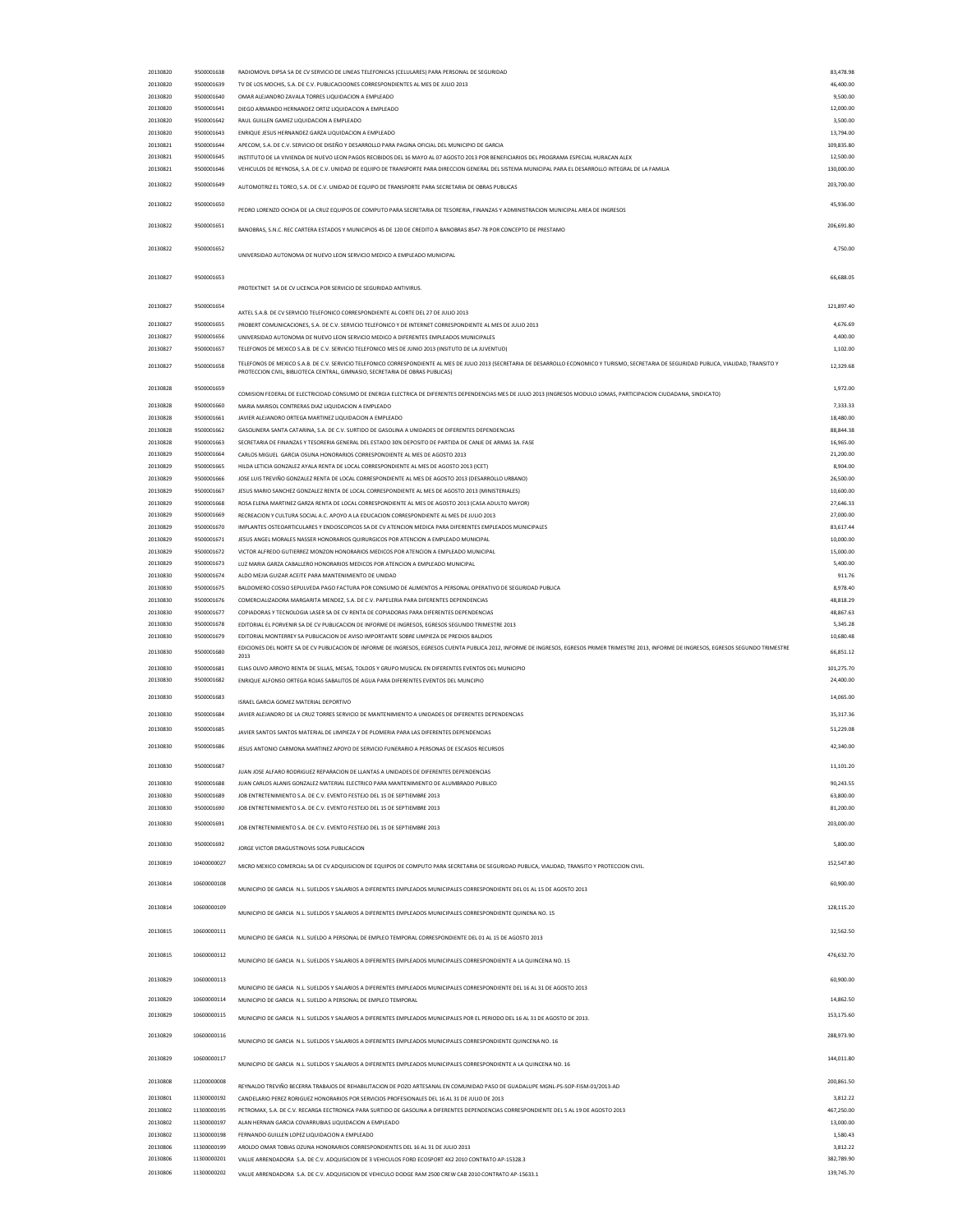| 20130820             | 9500001638                 | RADIOMOVIL DIPSA SA DE CV SERVICIO DE LINEAS TELEFONICAS (CELULARES) PARA PERSONAL DE SEGURIDAD                                                                                                                                                                                   | 83,478.98                |
|----------------------|----------------------------|-----------------------------------------------------------------------------------------------------------------------------------------------------------------------------------------------------------------------------------------------------------------------------------|--------------------------|
| 20130820             | 9500001639                 | TV DE LOS MOCHIS, S.A. DE C.V. PUBLICACIOONES CORRESPONDIENTES AL MES DE JULIO 2013                                                                                                                                                                                               | 46,400.00                |
|                      |                            |                                                                                                                                                                                                                                                                                   |                          |
| 20130820             | 9500001640                 | OMAR ALEJANDRO ZAVALA TORRES LIQUIDACION A EMPLEADO                                                                                                                                                                                                                               | 9,500.00                 |
| 20130820             | 9500001641                 | DIEGO ARMANDO HERNANDEZ ORTIZ LIQUIDACION A EMPLEADO                                                                                                                                                                                                                              | 12,000.00                |
| 20130820             | 9500001642                 | RAUL GUILLEN GAMEZ LIQUIDACION A EMPLEADO                                                                                                                                                                                                                                         | 3,500.00                 |
| 20130820             | 9500001643                 | ENRIQUE JESUS HERNANDEZ GARZA LIQUIDACION A EMPLEADO                                                                                                                                                                                                                              | 13,794.00                |
| 20130821             | 9500001644                 | APECOM, S.A. DE C.V. SERVICIO DE DISEÑO Y DESARROLLO PARA PAGINA OFICIAL DEL MUNICIPIO DE GARCIA                                                                                                                                                                                  | 109,835.80               |
| 20130821             | 9500001645                 | INSTITUTO DE LA VIVIENDA DE NUEVO LEON PAGOS RECIBIDOS DEL 16 MAYO AL 07 AGOSTO 2013 POR BENEFICIARIOS DEL PROGRAMA ESPECIAL HURACAN ALEX                                                                                                                                         | 12,500.00                |
|                      |                            |                                                                                                                                                                                                                                                                                   |                          |
| 20130821             | 9500001646                 | VEHICULOS DE REYNOSA, S.A. DE C.V. UNIDAD DE EQUIPO DE TRANSPORTE PARA DIRECCION GENERAL DEL SISTEMA MUNICIPAL PARA EL DESARROLLO INTEGRAL DE LA FAMILIA                                                                                                                          | 130,000.00               |
| 20130822             | 9500001649                 |                                                                                                                                                                                                                                                                                   | 203,700.00               |
|                      |                            | AUTOMOTRIZ EL TOREO, S.A. DE C.V. UNIDAD DE EQUIPO DE TRANSPORTE PARA SECRETARIA DE OBRAS PUBLICAS                                                                                                                                                                                |                          |
| 20130822             | 9500001650                 |                                                                                                                                                                                                                                                                                   | 45,936.00                |
|                      |                            | PEDRO LORENZO OCHOA DE LA CRUZ EQUIPOS DE COMPUTO PARA SECRETARIA DE TESORERIA, FINANZAS Y ADMINISTRACION MUNICIPAL AREA DE INGRESOS                                                                                                                                              |                          |
| 20130822             | 9500001651                 |                                                                                                                                                                                                                                                                                   | 206,691.80               |
|                      |                            | BANOBRAS, S.N.C. REC CARTERA ESTADOS Y MUNICIPIOS 45 DE 120 DE CREDITO A BANOBRAS 8547-78 POR CONCEPTO DE PRESTAMO                                                                                                                                                                |                          |
| 20130822             | 9500001652                 |                                                                                                                                                                                                                                                                                   | 4,750.00                 |
|                      |                            | UNIVERSIDAD AUTONOMA DE NUEVO LEON SERVICIO MEDICO A EMPLEADO MUNICIPAL                                                                                                                                                                                                           |                          |
|                      |                            |                                                                                                                                                                                                                                                                                   |                          |
| 20130827             | 9500001653                 |                                                                                                                                                                                                                                                                                   | 66,688.05                |
|                      |                            | PROTEKTNET SA DE CV LICENCIA POR SERVICIO DE SEGURIDAD ANTIVIRUS.                                                                                                                                                                                                                 |                          |
|                      |                            |                                                                                                                                                                                                                                                                                   |                          |
| 20130827             | 9500001654                 |                                                                                                                                                                                                                                                                                   | 121,897.40               |
|                      |                            | AXTEL S.A.B. DE CV SERVICIO TELEFONICO CORRESPONDIENTE AL CORTE DEL 27 DE JULIO 2013                                                                                                                                                                                              |                          |
| 20130827             | 9500001655                 | PROBERT COMUNICACIONES, S.A. DE C.V. SERVICIO TELEFONICO Y DE INTERNET CORRESPONDIENTE AL MES DE JULIO 2013                                                                                                                                                                       | 4,676.69                 |
| 20130827             | 9500001656                 | UNIVERSIDAD AUTONOMA DE NUEVO LEON SERVICIO MEDICO A DIFERENTES EMPLEADOS MUNICIPALES                                                                                                                                                                                             | 4,400.00                 |
| 20130827             | 9500001657                 | TELEFONOS DE MEXICO S.A.B. DE C.V. SERVICIO TELEFONICO MES DE JUNIO 2013 (INSITUTO DE LA JUVENTUD)                                                                                                                                                                                | 1,102.00                 |
|                      |                            |                                                                                                                                                                                                                                                                                   |                          |
| 20130827             | 9500001658                 | TELEFONOS DE MEXICO S.A.B. DE C.V. SERVICIO TELEFONICO CORRESPONDIENTE AL MES DE JULIO 2013 (SECRETARIA DE DESARROLLO ECONOMICO Y TURISMO, SECRETARIA DE SEGURIDAD PUBLICA, VIALIDAD, TRANSITO Y<br>PROTECCION CIVIL, BIBLIOTECA CENTRAL, GIMNASIO, SECRETARIA DE OBRAS PUBLICAS) | 12,329.68                |
|                      |                            |                                                                                                                                                                                                                                                                                   |                          |
| 20130828             | 9500001659                 |                                                                                                                                                                                                                                                                                   | 1,972.00                 |
|                      |                            | COMISION FEDERAL DE ELECTRICIDAD CONSUMO DE ENERGIA ELECTRICA DE DIFERENTES DEPENDENCIAS MES DE JULIO 2013 (INGRESOS MODULO LOMAS, PARTICIPACION CIUDADANA, SINDICATO)                                                                                                            |                          |
| 20130828             | 9500001660                 | MARIA MARISOL CONTRERAS DIAZ LIQUIDACION A EMPLEADO                                                                                                                                                                                                                               | 7,333.33                 |
| 20130828             | 9500001661                 | JAVIER ALEJANDRO ORTEGA MARTINEZ LIQUIDACION A EMPLEADO                                                                                                                                                                                                                           | 18,480.00                |
| 20130828             | 9500001662                 | GASOLINERA SANTA CATARINA, S.A. DE C.V. SURTIDO DE GASOLINA A UNIDADES DE DIFERENTES DEPENDENCIAS                                                                                                                                                                                 | 88,844.38                |
| 20130828             | 9500001663                 | SECRETARIA DE FINANZAS Y TESORERIA GENERAL DEL ESTADO 30% DEPOSITO DE PARTIDA DE CANJE DE ARMAS 3A. FASE                                                                                                                                                                          | 16,965.00                |
|                      |                            |                                                                                                                                                                                                                                                                                   |                          |
| 20130829             | 9500001664                 | CARLOS MIGUEL GARCIA OSUNA HONORARIOS CORRESPONDIENTE AL MES DE AGOSTO 2013                                                                                                                                                                                                       | 21,200.00                |
| 20130829             | 9500001665                 | HILDA LETICIA GONZALEZ AYALA RENTA DE LOCAL CORRESPONDIENTE AL MES DE AGOSTO 2013 (ICET)                                                                                                                                                                                          | 8,904.00                 |
| 20130829             | 9500001666                 | JOSE LUIS TREVIÑO GONZALEZ RENTA DE LOCAL CORRESPONDIENTE AL MES DE AGOSTO 2013 (DESARROLLO URBANO)                                                                                                                                                                               | 26,500.00                |
| 20130829             | 9500001667                 | JESUS MARIO SANCHEZ GONZALEZ RENTA DE LOCAL CORRESPONDIENTE AL MES DE AGOSTO 2013 (MINISTERIALES)                                                                                                                                                                                 | 10,600.00                |
|                      | 9500001668                 |                                                                                                                                                                                                                                                                                   | 27,646.33                |
| 20130829             |                            | ROSA ELENA MARTINEZ GARZA RENTA DE LOCAL CORRESPONDIENTE AL MES DE AGOSTO 2013 (CASA ADULTO MAYOR)                                                                                                                                                                                |                          |
| 20130829             | 9500001669                 | RECREACION Y CULTURA SOCIAL A.C. APOYO A LA EDUCACION CORRESPONDIENTE AL MES DE JULIO 2013                                                                                                                                                                                        | 27,000.00                |
| 20130829             | 9500001670                 | IMPLANTES OSTEOARTICULARES Y ENDOSCOPICOS SA DE CV ATENCION MEDICA PARA DIFERENTES EMPLEADOS MUNICIPALES                                                                                                                                                                          | 83,617.44                |
| 20130829             | 9500001671                 | JESUS ANGEL MORALES NASSER HONORARIOS QUIRURGICOS POR ATENCION A EMPLEADO MUNICIPAL                                                                                                                                                                                               | 10,000.00                |
| 20130829             | 9500001672                 | VICTOR ALFREDO GUTIERREZ MONZON HONORARIOS MEDICOS POR ATENCION A EMPLEADO MUNICIPAL                                                                                                                                                                                              | 15,000.00                |
| 20130829             | 9500001673                 | LUZ MARIA GARZA CABALLERO HONORARIOS MEDICOS POR ATENCION A EMPLEADO MUNICIPAL                                                                                                                                                                                                    | 5,400.00                 |
|                      |                            |                                                                                                                                                                                                                                                                                   |                          |
| 20130830             | 9500001674                 | ALDO MEJIA GUIZAR ACEITE PARA MANTENIMIENTO DE UNIDAD                                                                                                                                                                                                                             | 911.76                   |
| 20130830             | 9500001675                 | BALDOMERO COSSIO SEPULVEDA PAGO FACTURA POR CONSUMO DE ALIMENTOS A PERSONAL OPERATIVO DE SEGURIDAD PUBLICA                                                                                                                                                                        | 8,978.40                 |
| 20130830             | 9500001676                 | COMERCIALIZADORA MARGARITA MENDEZ, S.A. DE C.V. PAPELERIA PARA DIFERENTES DEPENDENCIAS                                                                                                                                                                                            | 48,818.29                |
| 20130830             | 9500001677                 | COPIADORAS Y TECNOLOGIA LASER SA DE CV RENTA DE COPIADORAS PARA DIFERENTES DEPENDENCIAS                                                                                                                                                                                           | 48,867.63                |
| 20130830             | 9500001678                 | EDITORIAL EL PORVENIR SA DE CV PUBLICACION DE INFORME DE INGRESOS, EGRESOS SEGUNDO TRIMESTRE 2013                                                                                                                                                                                 | 5,345.28                 |
|                      |                            |                                                                                                                                                                                                                                                                                   |                          |
| 20130830             | 9500001679                 | EDITORIAL MONTERREY SA PUBLICACION DE AVISO IMPORTANTE SOBRE LIMPIEZA DE PREDIOS BALDIOS                                                                                                                                                                                          | 10,680.48                |
| 20130830             | 9500001680                 | EDICIONES DEL NORTE SA DE CV PUBLICACION DE INFORME DE INGRESOS, EGRESOS CUENTA PUBLICA 2012, INFORME DE INGRESOS, EGRESOS PRIMER TRIMESTRE 2013, INFORME DE INGRESOS, EGRESOS SEGUNDO TRIMESTRE                                                                                  | 66,851.12                |
|                      |                            | 2013                                                                                                                                                                                                                                                                              |                          |
| 20130830             | 9500001681                 | ELIAS OLIVO ARROYO RENTA DE SILLAS, MESAS, TOLDOS Y GRUPO MUSICAL EN DIFERENTES EVENTOS DEL MUNICIPIO                                                                                                                                                                             | 101,275.70               |
| 20130830             | 9500001682                 | ENRIQUE ALFONSO ORTEGA ROJAS SABALITOS DE AGUA PARA DIFERENTES EVENTOS DEL MUNCIPIO                                                                                                                                                                                               | 24,400.00                |
|                      |                            |                                                                                                                                                                                                                                                                                   |                          |
| 20130830             | 9500001683                 | ISRAEL GARCIA GOMEZ MATERIAL DEPORTIVO                                                                                                                                                                                                                                            |                          |
| 20130830             |                            |                                                                                                                                                                                                                                                                                   | 14,065.00                |
|                      |                            |                                                                                                                                                                                                                                                                                   |                          |
|                      | 9500001684                 | JAVIER ALEJANDRO DE LA CRUZ TORRES SERVICIO DE MANTENIMIENTO A UNIDADES DE DIFERENTES DEPENDENCIAS                                                                                                                                                                                | 35,317.36                |
| 20130830             | 9500001685                 | JAVIER SANTOS SANTOS MATERIAL DE LIMPIEZA Y DE PLOMERIA PARA LAS DIFERENTES DEPENDENCIAS                                                                                                                                                                                          | 51,229.08                |
|                      |                            |                                                                                                                                                                                                                                                                                   |                          |
| 20130830             | 9500001686                 | JESUS ANTONIO CARMONA MARTINEZ APOYO DE SERVICIO FUNERARIO A PERSONAS DE ESCASOS RECURSOS                                                                                                                                                                                         | 42,340.00                |
|                      |                            |                                                                                                                                                                                                                                                                                   |                          |
| 20130830             | 9500001687                 | JUAN JOSE ALFARO RODRIGUEZ REPARACION DE LLANTAS A UNIDADES DE DIFERENTES DEPENDENCIAS                                                                                                                                                                                            | 11,101.20                |
| 20130830             | 9500001688                 | JUAN CARLOS ALANIS GONZALEZ MATERIAL ELECTRICO PARA MANTENIMIENTO DE ALUMBRADO PUBLICO                                                                                                                                                                                            | 90,243.55                |
|                      |                            |                                                                                                                                                                                                                                                                                   |                          |
| 20130830             | 9500001689                 | JOB ENTRETENIMIENTO S.A. DE C.V. EVENTO FESTEJO DEL 15 DE SEPTIEMBRE 2013                                                                                                                                                                                                         | 63,800.00                |
| 20130830             | 9500001690                 | JOB ENTRETENIMIENTO S.A. DE C.V. EVENTO FESTEJO DEL 15 DE SEPTIEMBRE 2013                                                                                                                                                                                                         | 81,200.00                |
| 20130830             | 9500001691                 |                                                                                                                                                                                                                                                                                   | 203,000.00               |
|                      |                            | JOB ENTRETENIMIENTO S.A. DE C.V. EVENTO FESTEJO DEL 15 DE SEPTIEMBRE 2013                                                                                                                                                                                                         |                          |
| 20130830             | 9500001692                 |                                                                                                                                                                                                                                                                                   | 5,800.00                 |
|                      |                            | JORGE VICTOR DRAGUSTINOVIS SOSA PUBLICACION                                                                                                                                                                                                                                       |                          |
| 20130819             | 10400000027                | MICRO MEXICO COMERCIAL SA DE CV ADQUISICION DE EQUIPOS DE COMPUTO PARA SECRETARIA DE SEGURIDAD PUBLICA, VIALIDAD, TRANSITO Y PROTECCION CIVIL.                                                                                                                                    | 152,547.80               |
|                      |                            |                                                                                                                                                                                                                                                                                   |                          |
| 20130814             | 10600000108                |                                                                                                                                                                                                                                                                                   | 60,900.00                |
|                      |                            | MUNICIPIO DE GARCIA N.L. SUELDOS Y SALARIOS A DIFERENTES EMPLEADOS MUNICIPALES CORRESPONDIENTE DEL 01 AL 15 DE AGOSTO 2013                                                                                                                                                        |                          |
|                      |                            |                                                                                                                                                                                                                                                                                   |                          |
| 20130814             | 10600000109                | MUNICIPIO DE GARCIA N.L. SUELDOS Y SALARIOS A DIFERENTES EMPLEADOS MUNICIPALES CORRESPONDIENTE QUINENA NO. 15                                                                                                                                                                     | 128,115.20               |
|                      |                            |                                                                                                                                                                                                                                                                                   |                          |
| 20130815             | 10600000111                |                                                                                                                                                                                                                                                                                   | 32,562.50                |
|                      |                            | MUNICIPIO DE GARCIA N.L. SUELDO A PERSONAL DE EMPLEO TEMPORAL CORRESPONDIENTE DEL 01 AL 15 DE AGOSTO 2013                                                                                                                                                                         |                          |
| 20130815             | 10600000112                |                                                                                                                                                                                                                                                                                   | 476,632.70               |
|                      |                            | MUNICIPIO DE GARCIA N.L. SUELDOS Y SALARIOS A DIFERENTES EMPLEADOS MUNICIPALES CORRESPONDIENTE A LA QUINCENA NO. 15                                                                                                                                                               |                          |
|                      |                            |                                                                                                                                                                                                                                                                                   |                          |
| 20130829             | 10600000113                |                                                                                                                                                                                                                                                                                   | 60,900.00                |
|                      |                            | MUNICIPIO DE GARCIA N.L. SUELDOS Y SALARIOS A DIFERENTES EMPLEADOS MUNICIPALES CORRESPONDIENTE DEL 16 AL 31 DE AGOSTO 2013                                                                                                                                                        |                          |
| 20130829             | 10600000114                | MUNICIPIO DE GARCIA N.L. SUELDO A PERSONAL DE EMPLEO TEMPORAL                                                                                                                                                                                                                     | 14,862.50                |
| 20130829             | 10600000115                |                                                                                                                                                                                                                                                                                   | 153,175.60               |
|                      |                            | MUNICIPIO DE GARCIA N.L. SUELDOS Y SALARIOS A DIFERENTES EMPLEADOS MUNICIPALES POR EL PERIODO DEL 16 AL 31 DE AGOSTO DE 2013.                                                                                                                                                     |                          |
| 20130829             | 10600000116                |                                                                                                                                                                                                                                                                                   | 288,973.90               |
|                      |                            | MUNICIPIO DE GARCIA N.L. SUELDOS Y SALARIOS A DIFERENTES EMPLEADOS MUNICIPALES CORRESPONDIENTE QUINCENA NO. 16                                                                                                                                                                    |                          |
|                      |                            |                                                                                                                                                                                                                                                                                   |                          |
| 20130829             | 10600000117                | MUNICIPIO DE GARCIA N.L. SUELDOS Y SALARIOS A DIFERENTES EMPLEADOS MUNICIPALES CORRESPONDIENTE A LA QUINCENA NO. 16                                                                                                                                                               | 144,011.80               |
|                      |                            |                                                                                                                                                                                                                                                                                   |                          |
| 20130808             | 11200000008                | REYNALDO TREVIÑO BECERRA TRABAJOS DE REHABILITACION DE POZO ARTESANAL EN COMUNIDAD PASO DE GUADALUPE MGNL-PS-SOP-FISM-01/2013-AD                                                                                                                                                  | 200,861.50               |
|                      |                            |                                                                                                                                                                                                                                                                                   |                          |
| 20130801             | 11300000192                | CANDELARIO PEREZ RORIGUEZ HONORARIOS POR SERVICIOS PROFESIONALES DEL 16 AL 31 DE JULIO DE 2013                                                                                                                                                                                    | 3,812.22                 |
| 20130802             | 11300000195                | PETROMAX, S.A. DE C.V. RECARGA EECTRONICA PARA SURTIDO DE GASOLINA A DIFERENTES DEPENDENCIAS CORRESPONDIENTE DEL 5 AL 19 DE AGOSTO 2013                                                                                                                                           | 467,250.00               |
| 20130802             | 11300000197                | ALAN HERNAN GARCIA COVARRUBIAS LIQUIDACION A EMPLEADO                                                                                                                                                                                                                             | 13,000.00                |
| 20130802             | 11300000198                | FERNANDO GUILLEN LOPEZ LIQUIDACION A EMPLEADO                                                                                                                                                                                                                                     | 1,580.43                 |
| 20130806             | 11300000199                | AROLDO OMAR TOBIAS OZUNA HONORARIOS CORRESPONDIENTES DEL 16 AL 31 DE JULIO 2013                                                                                                                                                                                                   | 3,812.22                 |
|                      |                            |                                                                                                                                                                                                                                                                                   |                          |
| 20130806<br>20130806 | 11300000201<br>11300000202 | VALUE ARRENDADORA S.A. DE C.V. ADQUISICION DE 3 VEHICULOS FORD ECOSPORT 4X2 2010 CONTRATO AP-15328.3                                                                                                                                                                              | 382,789.90<br>139,745.70 |